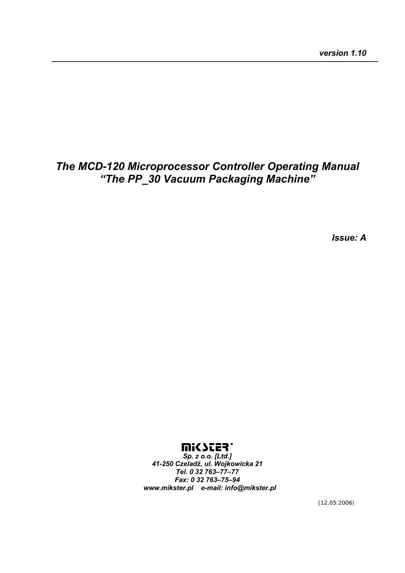# *The MCD-120 Microprocessor Controller Operating Manual "The PP\_30 Vacuum Packaging Machine"*

*Issue: A*

## **WICZES.**

*Sp. z o.o. [Ltd.] 41-250 Czeladź, ul. Wojkowicka 21 Tel. 0 32 763–77–77 Fax: 0 32 763–75–94 www.mikster.pl e-mail: info@mikster.pl*

(12.05.2006)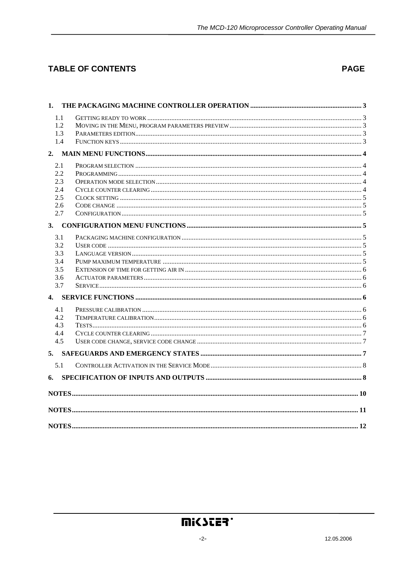## **TABLE OF CONTENTS**

## **PAGE**

| 1. |     |  |  |
|----|-----|--|--|
|    | 1.1 |  |  |
|    | 1.2 |  |  |
|    | 1.3 |  |  |
|    | 1.4 |  |  |
|    |     |  |  |
|    | 2.1 |  |  |
|    | 2.2 |  |  |
|    | 2.3 |  |  |
|    | 2.4 |  |  |
|    | 2.5 |  |  |
|    | 2.6 |  |  |
|    | 2.7 |  |  |
| 3. |     |  |  |
|    | 3.1 |  |  |
|    | 3.2 |  |  |
|    | 3.3 |  |  |
|    | 3.4 |  |  |
|    | 3.5 |  |  |
|    | 3.6 |  |  |
|    | 3.7 |  |  |
| 4. |     |  |  |
|    |     |  |  |
|    | 4.1 |  |  |
|    | 4.2 |  |  |
|    | 4.3 |  |  |
|    | 4.4 |  |  |
|    | 4.5 |  |  |
| 5. |     |  |  |
|    | 5.1 |  |  |
| 6. |     |  |  |
|    |     |  |  |
|    |     |  |  |
|    |     |  |  |
|    |     |  |  |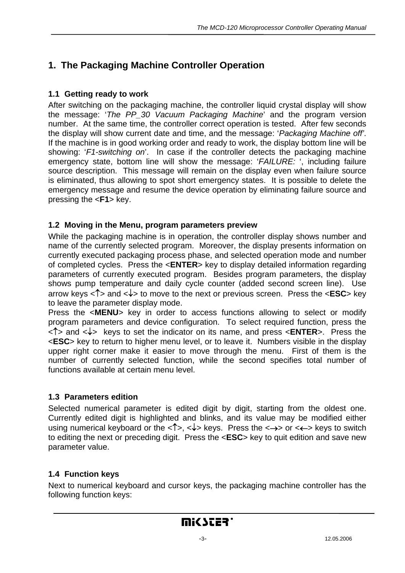# <span id="page-2-0"></span>**1. The Packaging Machine Controller Operation**

### **1.1 Getting ready to work**

After switching on the packaging machine, the controller liquid crystal display will show the message: '*The PP\_30 Vacuum Packaging Machine*' and the program version number. At the same time, the controller correct operation is tested. After few seconds the display will show current date and time, and the message: '*Packaging Machine off'*. If the machine is in good working order and ready to work, the display bottom line will be showing: '*F1-switching on*'. In case if the controller detects the packaging machine emergency state, bottom line will show the message: '*FAILURE:* ', including failure source description. This message will remain on the display even when failure source is eliminated, thus allowing to spot short emergency states. It is possible to delete the emergency message and resume the device operation by eliminating failure source and pressing the <**F1**> key.

#### **1.2 Moving in the Menu, program parameters preview**

While the packaging machine is in operation, the controller display shows number and name of the currently selected program. Moreover, the display presents information on currently executed packaging process phase, and selected operation mode and number of completed cycles. Press the <**ENTER**> key to display detailed information regarding parameters of currently executed program. Besides program parameters, the display shows pump temperature and daily cycle counter (added second screen line). Use arrow keys <↑> and <↓> to move to the next or previous screen. Press the <**ESC**> key to leave the parameter display mode.

Press the <**MENU**> key in order to access functions allowing to select or modify program parameters and device configuration. To select required function, press the <↑> and <↓> keys to set the indicator on its name, and press <**ENTER**>. Press the <**ESC**> key to return to higher menu level, or to leave it. Numbers visible in the display upper right corner make it easier to move through the menu. First of them is the number of currently selected function, while the second specifies total number of functions available at certain menu level.

## **1.3 Parameters edition**

Selected numerical parameter is edited digit by digit, starting from the oldest one. Currently edited digit is highlighted and blinks, and its value may be modified either using numerical keyboard or the  $\langle \uparrow \rangle$ ,  $\langle \downarrow \rangle$  keys. Press the  $\langle \rightarrow \rangle$  or  $\langle \leftarrow \rangle$  keys to switch to editing the next or preceding digit. Press the <**ESC**> key to quit edition and save new parameter value.

## **1.4 Function keys**

Next to numerical keyboard and cursor keys, the packaging machine controller has the following function keys: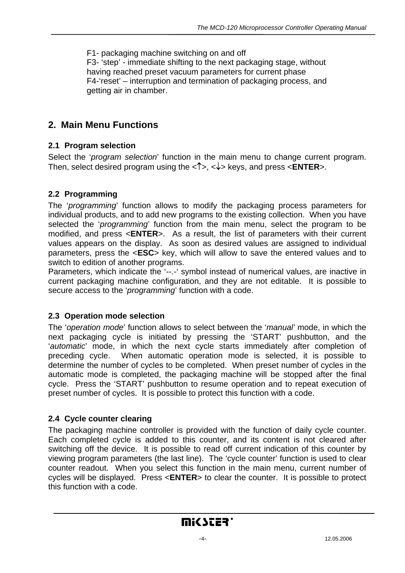<span id="page-3-0"></span> F1- packaging machine switching on and off F3- 'step' - immediate shifting to the next packaging stage, without having reached preset vacuum parameters for current phase F4-'reset' – interruption and termination of packaging process, and getting air in chamber.

## **2. Main Menu Functions**

#### **2.1 Program selection**

Select the '*program selection*' function in the main menu to change current program. Then, select desired program using the <↑>, <↓> keys, and press <**ENTER**>.

#### **2.2 Programming**

The '*programming*' function allows to modify the packaging process parameters for individual products, and to add new programs to the existing collection. When you have selected the '*programming*' function from the main menu, select the program to be modified, and press <**ENTER**>. As a result, the list of parameters with their current values appears on the display. As soon as desired values are assigned to individual parameters, press the <**ESC**> key, which will allow to save the entered values and to switch to edition of another programs.

Parameters, which indicate the '*--.-*' symbol instead of numerical values, are inactive in current packaging machine configuration, and they are not editable. It is possible to secure access to the '*programming*' function with a code.

#### **2.3 Operation mode selection**

The '*operation mode*' function allows to select between the '*manual'* mode, in which the next packaging cycle is initiated by pressing the 'START' pushbutton, and the '*automatic*' mode, in which the next cycle starts immediately after completion of preceding cycle. When automatic operation mode is selected, it is possible to determine the number of cycles to be completed. When preset number of cycles in the automatic mode is completed, the packaging machine will be stopped after the final cycle. Press the 'START' pushbutton to resume operation and to repeat execution of preset number of cycles. It is possible to protect this function with a code.

#### **2.4 Cycle counter clearing**

The packaging machine controller is provided with the function of daily cycle counter. Each completed cycle is added to this counter, and its content is not cleared after switching off the device. It is possible to read off current indication of this counter by viewing program parameters (the last line). The 'cycle counter' function is used to clear counter readout. When you select this function in the main menu, current number of cycles will be displayed. Press <**ENTER**> to clear the counter. It is possible to protect this function with a code.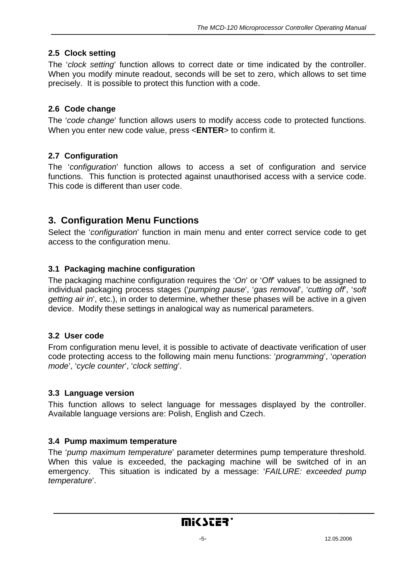#### <span id="page-4-0"></span>**2.5 Clock setting**

The '*clock setting*' function allows to correct date or time indicated by the controller. When you modify minute readout, seconds will be set to zero, which allows to set time precisely. It is possible to protect this function with a code.

#### **2.6 Code change**

The '*code change*' function allows users to modify access code to protected functions. When you enter new code value, press <**ENTER**> to confirm it.

#### **2.7 Configuration**

The '*configuration*' function allows to access a set of configuration and service functions. This function is protected against unauthorised access with a service code. This code is different than user code.

## **3. Configuration Menu Functions**

Select the '*configuration*' function in main menu and enter correct service code to get access to the configuration menu.

#### **3.1 Packaging machine configuration**

The packaging machine configuration requires the '*On*' or '*Off*' values to be assigned to individual packaging process stages ('*pumping pause*', '*gas removal*', '*cutting off*', '*soft getting air in*', etc.), in order to determine, whether these phases will be active in a given device. Modify these settings in analogical way as numerical parameters.

#### **3.2 User code**

From configuration menu level, it is possible to activate of deactivate verification of user code protecting access to the following main menu functions: '*programming*', '*operation mode*', '*cycle counter*', '*clock setting*'.

#### **3.3 Language version**

This function allows to select language for messages displayed by the controller. Available language versions are: Polish, English and Czech.

#### **3.4 Pump maximum temperature**

The '*pump maximum temperature*' parameter determines pump temperature threshold. When this value is exceeded, the packaging machine will be switched of in an emergency. This situation is indicated by a message: '*FAILURE: exceeded pump temperature*'.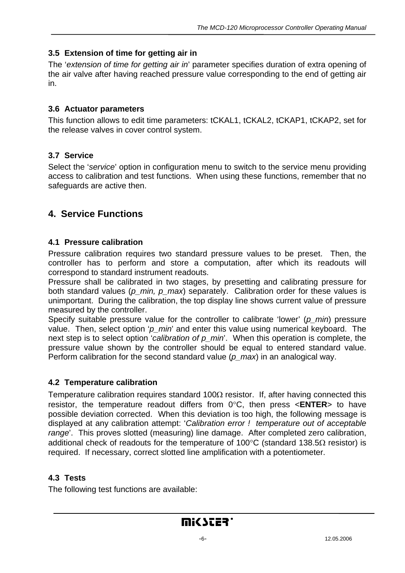#### <span id="page-5-0"></span>**3.5 Extension of time for getting air in**

The '*extension of time for getting air in*' parameter specifies duration of extra opening of the air valve after having reached pressure value corresponding to the end of getting air in.

#### **3.6 Actuator parameters**

This function allows to edit time parameters: tCKAL1, tCKAL2, tCKAP1, tCKAP2, set for the release valves in cover control system.

#### **3.7 Service**

Select the '*service*' option in configuration menu to switch to the service menu providing access to calibration and test functions. When using these functions, remember that no safeguards are active then.

# **4. Service Functions**

#### **4.1 Pressure calibration**

Pressure calibration requires two standard pressure values to be preset. Then, the controller has to perform and store a computation, after which its readouts will correspond to standard instrument readouts.

Pressure shall be calibrated in two stages, by presetting and calibrating pressure for both standard values (*p\_min, p\_max*) separately. Calibration order for these values is unimportant. During the calibration, the top display line shows current value of pressure measured by the controller.

Specify suitable pressure value for the controller to calibrate 'lower' (*p\_min*) pressure value. Then, select option '*p\_min*' and enter this value using numerical keyboard. The next step is to select option '*calibration of p\_min*'. When this operation is complete, the pressure value shown by the controller should be equal to entered standard value. Perform calibration for the second standard value (*p\_max*) in an analogical way.

#### **4.2 Temperature calibration**

Temperature calibration requires standard 100 $\Omega$  resistor. If, after having connected this resistor, the temperature readout differs from 0°C, then press <**ENTER**> to have possible deviation corrected. When this deviation is too high, the following message is displayed at any calibration attempt: '*Calibration error ! temperature out of acceptable range*'. This proves slotted (measuring) line damage. After completed zero calibration, additional check of readouts for the temperature of 100°C (standard 138.5Ω resistor) is required. If necessary, correct slotted line amplification with a potentiometer.

#### **4.3 Tests**

The following test functions are available: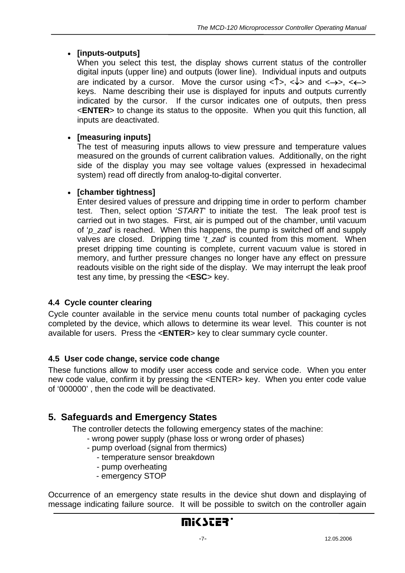#### <span id="page-6-0"></span>• **[inputs-outputs]**

When you select this test, the display shows current status of the controller digital inputs (upper line) and outputs (lower line). Individual inputs and outputs are indicated by a cursor. Move the cursor using  $\langle \uparrow \rangle$ ,  $\langle \downarrow \rangle$  and  $\langle \rightarrow \rangle$ ,  $\langle \leftarrow \rangle$ keys. Name describing their use is displayed for inputs and outputs currently indicated by the cursor. If the cursor indicates one of outputs, then press <**ENTER**> to change its status to the opposite. When you quit this function, all inputs are deactivated.

#### • **[measuring inputs]**

The test of measuring inputs allows to view pressure and temperature values measured on the grounds of current calibration values. Additionally, on the right side of the display you may see voltage values (expressed in hexadecimal system) read off directly from analog-to-digital converter.

#### • **[chamber tightness]**

Enter desired values of pressure and dripping time in order to perform chamber test. Then, select option '*START*' to initiate the test. The leak proof test is carried out in two stages. First, air is pumped out of the chamber, until vacuum of '*p\_zad*' is reached. When this happens, the pump is switched off and supply valves are closed. Dripping time 't zad' is counted from this moment. When preset dripping time counting is complete, current vacuum value is stored in memory, and further pressure changes no longer have any effect on pressure readouts visible on the right side of the display. We may interrupt the leak proof test any time, by pressing the <**ESC**> key.

#### **4.4 Cycle counter clearing**

Cycle counter available in the service menu counts total number of packaging cycles completed by the device, which allows to determine its wear level. This counter is not available for users. Press the <**ENTER**> key to clear summary cycle counter.

#### **4.5 User code change, service code change**

These functions allow to modify user access code and service code. When you enter new code value, confirm it by pressing the <ENTER> key. When you enter code value of '000000' , then the code will be deactivated.

## **5. Safeguards and Emergency States**

The controller detects the following emergency states of the machine:

- wrong power supply (phase loss or wrong order of phases)
	- pump overload (signal from thermics)
		- temperature sensor breakdown
		- pump overheating
		- emergency STOP

Occurrence of an emergency state results in the device shut down and displaying of message indicating failure source. It will be possible to switch on the controller again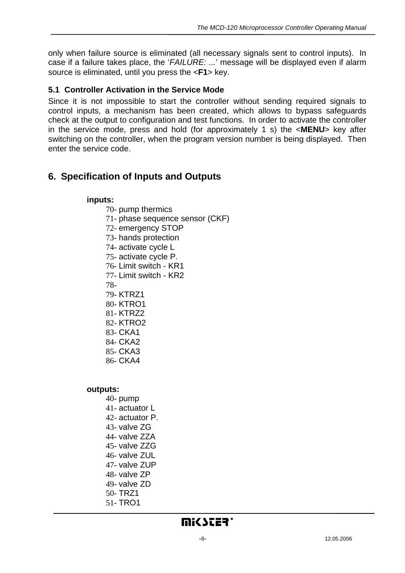<span id="page-7-0"></span>only when failure source is eliminated (all necessary signals sent to control inputs). In case if a failure takes place, the '*FAILURE: ...*' message will be displayed even if alarm source is eliminated, until you press the <**F1**> key.

#### **5.1 Controller Activation in the Service Mode**

Since it is not impossible to start the controller without sending required signals to control inputs, a mechanism has been created, which allows to bypass safeguards check at the output to configuration and test functions. In order to activate the controller in the service mode, press and hold (for approximately 1 s) the <**MENU**> key after switching on the controller, when the program version number is being displayed. Then enter the service code.

## **6. Specification of Inputs and Outputs**

#### **inputs:**

- 70- pump thermics
- 71- phase sequence sensor (CKF)
- 72- emergency STOP
- 73- hands protection
- 74- activate cycle L
- 75- activate cycle P.
- 76- Limit switch KR1
- 77- Limit switch KR2
- 78-
- 79- KTRZ1
- 80- KTRO1
- 81- KTRZ2
- 82- KTRO2
- 83- CKA1
- 84- CKA2
- 85- CKA3
- 86- CKA4

**outputs:** 

40- pump 41- actuator L 42- actuator P. 43- valve ZG 44- valve ZZA 45- valve ZZG 46- valve ZUL 47- valve ZUP 48- valve ZP 49- valve ZD 50- TRZ1 51- TRO1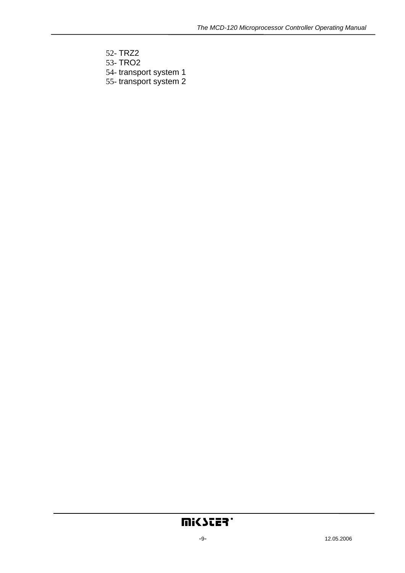- 52- TRZ2
- 53- TRO2
- 54- transport system 1
- 55- transport system 2

# **Mi<SCER**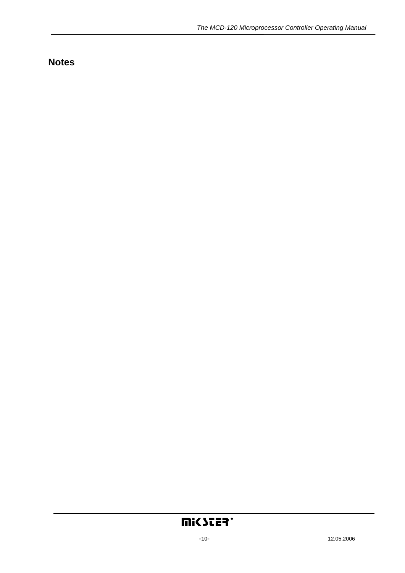# <span id="page-9-0"></span>**Notes**

# mi<scea.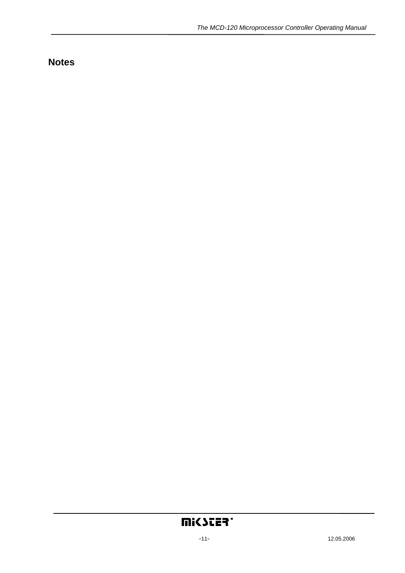# <span id="page-10-0"></span>**Notes**

# mi<scea.